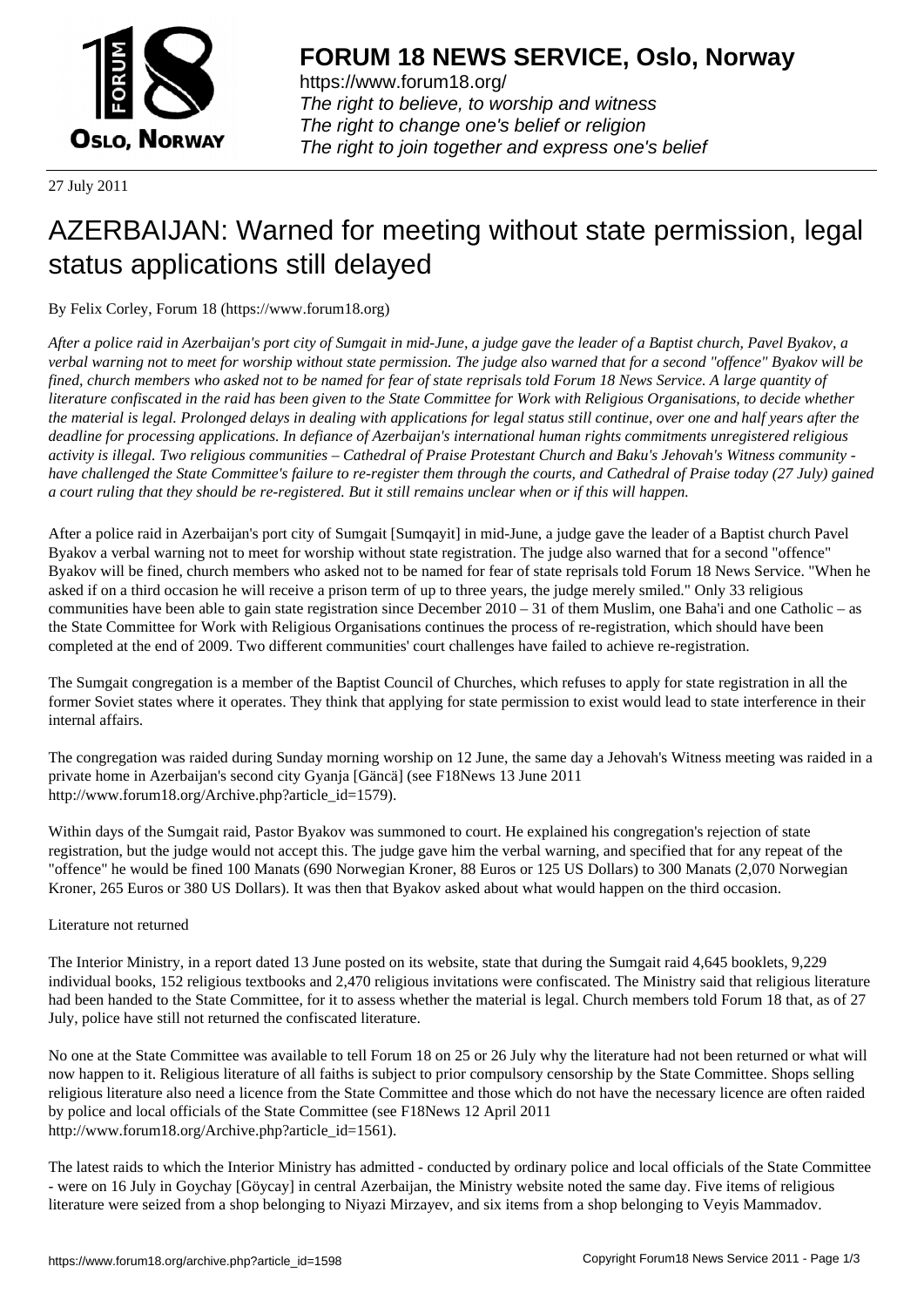

https://www.forum18.org/ The right to believe, to worship and witness The right to change one's belief or religion [The right to join together a](https://www.forum18.org/)nd express one's belief

27 July 2011

## [AZERBAIJAN: W](https://www.forum18.org)arned for meeting without state permission, legal status applications still delayed

By Felix Corley, Forum 18 (https://www.forum18.org)

*After a police raid in Azerbaijan's port city of Sumgait in mid-June, a judge gave the leader of a Baptist church, Pavel Byakov, a verbal warning not to meet for worship without state permission. The judge also warned that for a second "offence" Byakov will be fined, church members who asked not to be named for fear of state reprisals told Forum 18 News Service. A large quantity of literature confiscated in the raid has been given to the State Committee for Work with Religious Organisations, to decide whether the material is legal. Prolonged delays in dealing with applications for legal status still continue, over one and half years after the deadline for processing applications. In defiance of Azerbaijan's international human rights commitments unregistered religious activity is illegal. Two religious communities – Cathedral of Praise Protestant Church and Baku's Jehovah's Witness community have challenged the State Committee's failure to re-register them through the courts, and Cathedral of Praise today (27 July) gained a court ruling that they should be re-registered. But it still remains unclear when or if this will happen.*

After a police raid in Azerbaijan's port city of Sumgait [Sumqayit] in mid-June, a judge gave the leader of a Baptist church Pavel Byakov a verbal warning not to meet for worship without state registration. The judge also warned that for a second "offence" Byakov will be fined, church members who asked not to be named for fear of state reprisals told Forum 18 News Service. "When he asked if on a third occasion he will receive a prison term of up to three years, the judge merely smiled." Only 33 religious communities have been able to gain state registration since December 2010 – 31 of them Muslim, one Baha'i and one Catholic – as the State Committee for Work with Religious Organisations continues the process of re-registration, which should have been completed at the end of 2009. Two different communities' court challenges have failed to achieve re-registration.

The Sumgait congregation is a member of the Baptist Council of Churches, which refuses to apply for state registration in all the former Soviet states where it operates. They think that applying for state permission to exist would lead to state interference in their internal affairs.

The congregation was raided during Sunday morning worship on 12 June, the same day a Jehovah's Witness meeting was raided in a private home in Azerbaijan's second city Gyanja [Gäncä] (see F18News 13 June 2011 http://www.forum18.org/Archive.php?article\_id=1579).

Within days of the Sumgait raid, Pastor Byakov was summoned to court. He explained his congregation's rejection of state registration, but the judge would not accept this. The judge gave him the verbal warning, and specified that for any repeat of the "offence" he would be fined 100 Manats (690 Norwegian Kroner, 88 Euros or 125 US Dollars) to 300 Manats (2,070 Norwegian Kroner, 265 Euros or 380 US Dollars). It was then that Byakov asked about what would happen on the third occasion.

## Literature not returned

The Interior Ministry, in a report dated 13 June posted on its website, state that during the Sumgait raid 4,645 booklets, 9,229 individual books, 152 religious textbooks and 2,470 religious invitations were confiscated. The Ministry said that religious literature had been handed to the State Committee, for it to assess whether the material is legal. Church members told Forum 18 that, as of 27 July, police have still not returned the confiscated literature.

No one at the State Committee was available to tell Forum 18 on 25 or 26 July why the literature had not been returned or what will now happen to it. Religious literature of all faiths is subject to prior compulsory censorship by the State Committee. Shops selling religious literature also need a licence from the State Committee and those which do not have the necessary licence are often raided by police and local officials of the State Committee (see F18News 12 April 2011 http://www.forum18.org/Archive.php?article\_id=1561).

The latest raids to which the Interior Ministry has admitted - conducted by ordinary police and local officials of the State Committee - were on 16 July in Goychay [Göycay] in central Azerbaijan, the Ministry website noted the same day. Five items of religious literature were seized from a shop belonging to Niyazi Mirzayev, and six items from a shop belonging to Veyis Mammadov.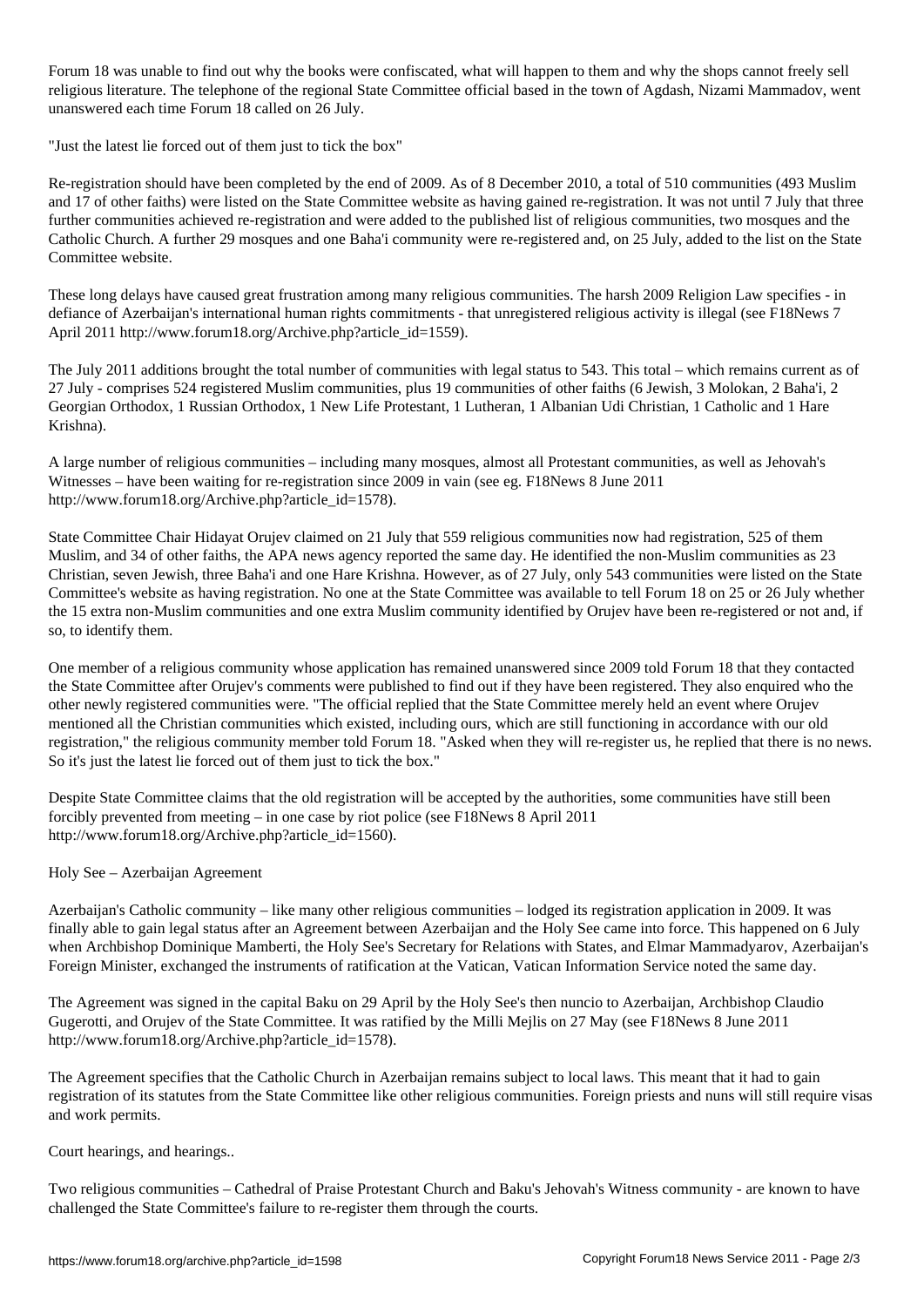For the books were confiscated, why the books were confidential happen to the shops cannot freely selling  $\mathcal{A}$ religious literature. The telephone of the regional State Committee official based in the town of Agdash, Nizami Mammadov, went unanswered each time Forum 18 called on 26 July.

"Just the latest lie forced out of them just to tick the box"

Re-registration should have been completed by the end of 2009. As of 8 December 2010, a total of 510 communities (493 Muslim and 17 of other faiths) were listed on the State Committee website as having gained re-registration. It was not until 7 July that three further communities achieved re-registration and were added to the published list of religious communities, two mosques and the Catholic Church. A further 29 mosques and one Baha'i community were re-registered and, on 25 July, added to the list on the State Committee website.

These long delays have caused great frustration among many religious communities. The harsh 2009 Religion Law specifies - in defiance of Azerbaijan's international human rights commitments - that unregistered religious activity is illegal (see F18News 7 April 2011 http://www.forum18.org/Archive.php?article\_id=1559).

The July 2011 additions brought the total number of communities with legal status to 543. This total – which remains current as of 27 July - comprises 524 registered Muslim communities, plus 19 communities of other faiths (6 Jewish, 3 Molokan, 2 Baha'i, 2 Georgian Orthodox, 1 Russian Orthodox, 1 New Life Protestant, 1 Lutheran, 1 Albanian Udi Christian, 1 Catholic and 1 Hare Krishna).

A large number of religious communities – including many mosques, almost all Protestant communities, as well as Jehovah's Witnesses – have been waiting for re-registration since 2009 in vain (see eg. F18News 8 June 2011 http://www.forum18.org/Archive.php?article\_id=1578).

State Committee Chair Hidayat Orujev claimed on 21 July that 559 religious communities now had registration, 525 of them Muslim, and 34 of other faiths, the APA news agency reported the same day. He identified the non-Muslim communities as 23 Christian, seven Jewish, three Baha'i and one Hare Krishna. However, as of 27 July, only 543 communities were listed on the State Committee's website as having registration. No one at the State Committee was available to tell Forum 18 on 25 or 26 July whether the 15 extra non-Muslim communities and one extra Muslim community identified by Orujev have been re-registered or not and, if so, to identify them.

One member of a religious community whose application has remained unanswered since 2009 told Forum 18 that they contacted the State Committee after Orujev's comments were published to find out if they have been registered. They also enquired who the other newly registered communities were. "The official replied that the State Committee merely held an event where Orujev mentioned all the Christian communities which existed, including ours, which are still functioning in accordance with our old registration," the religious community member told Forum 18. "Asked when they will re-register us, he replied that there is no news. So it's just the latest lie forced out of them just to tick the box."

Despite State Committee claims that the old registration will be accepted by the authorities, some communities have still been forcibly prevented from meeting – in one case by riot police (see F18News 8 April 2011 http://www.forum18.org/Archive.php?article\_id=1560).

## Holy See – Azerbaijan Agreement

Azerbaijan's Catholic community – like many other religious communities – lodged its registration application in 2009. It was finally able to gain legal status after an Agreement between Azerbaijan and the Holy See came into force. This happened on 6 July when Archbishop Dominique Mamberti, the Holy See's Secretary for Relations with States, and Elmar Mammadyarov, Azerbaijan's Foreign Minister, exchanged the instruments of ratification at the Vatican, Vatican Information Service noted the same day.

The Agreement was signed in the capital Baku on 29 April by the Holy See's then nuncio to Azerbaijan, Archbishop Claudio Gugerotti, and Orujev of the State Committee. It was ratified by the Milli Mejlis on 27 May (see F18News 8 June 2011 http://www.forum18.org/Archive.php?article\_id=1578).

The Agreement specifies that the Catholic Church in Azerbaijan remains subject to local laws. This meant that it had to gain registration of its statutes from the State Committee like other religious communities. Foreign priests and nuns will still require visas and work permits.

## Court hearings, and hearings..

Two religious communities – Cathedral of Praise Protestant Church and Baku's Jehovah's Witness community - are known to have challenged the State Committee's failure to re-register them through the courts.